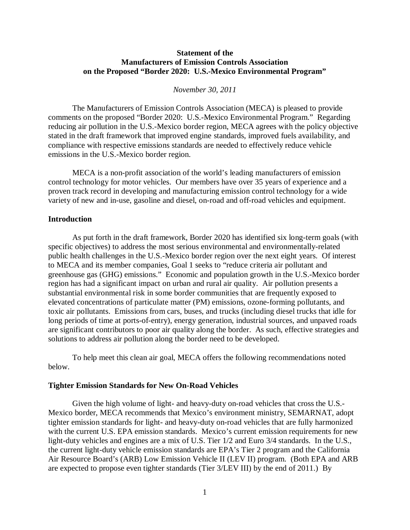# **Statement of the Manufacturers of Emission Controls Association on the Proposed "Border 2020: U.S.-Mexico Environmental Program"**

# *November 30, 2011*

The Manufacturers of Emission Controls Association (MECA) is pleased to provide comments on the proposed "Border 2020: U.S.-Mexico Environmental Program." Regarding reducing air pollution in the U.S.-Mexico border region, MECA agrees with the policy objective stated in the draft framework that improved engine standards, improved fuels availability, and compliance with respective emissions standards are needed to effectively reduce vehicle emissions in the U.S.-Mexico border region.

MECA is a non-profit association of the world's leading manufacturers of emission control technology for motor vehicles. Our members have over 35 years of experience and a proven track record in developing and manufacturing emission control technology for a wide variety of new and in-use, gasoline and diesel, on-road and off-road vehicles and equipment.

# **Introduction**

As put forth in the draft framework, Border 2020 has identified six long-term goals (with specific objectives) to address the most serious environmental and environmentally-related public health challenges in the U.S.-Mexico border region over the next eight years. Of interest to MECA and its member companies, Goal 1 seeks to "reduce criteria air pollutant and greenhouse gas (GHG) emissions." Economic and population growth in the U.S.-Mexico border region has had a significant impact on urban and rural air quality. Air pollution presents a substantial environmental risk in some border communities that are frequently exposed to elevated concentrations of particulate matter (PM) emissions, ozone-forming pollutants, and toxic air pollutants. Emissions from cars, buses, and trucks (including diesel trucks that idle for long periods of time at ports-of-entry), energy generation, industrial sources, and unpaved roads are significant contributors to poor air quality along the border. As such, effective strategies and solutions to address air pollution along the border need to be developed.

To help meet this clean air goal, MECA offers the following recommendations noted below.

### **Tighter Emission Standards for New On-Road Vehicles**

Given the high volume of light- and heavy-duty on-road vehicles that cross the U.S.- Mexico border, MECA recommends that Mexico's environment ministry, SEMARNAT, adopt tighter emission standards for light- and heavy-duty on-road vehicles that are fully harmonized with the current U.S. EPA emission standards. Mexico's current emission requirements for new light-duty vehicles and engines are a mix of U.S. Tier 1/2 and Euro 3/4 standards. In the U.S., the current light-duty vehicle emission standards are EPA's Tier 2 program and the California Air Resource Board's (ARB) Low Emission Vehicle II (LEV II) program. (Both EPA and ARB are expected to propose even tighter standards (Tier 3/LEV III) by the end of 2011.) By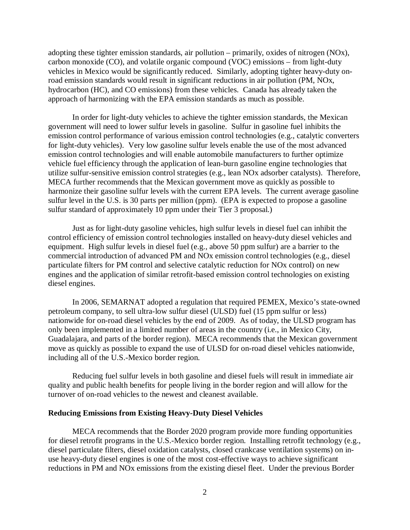adopting these tighter emission standards, air pollution – primarily, oxides of nitrogen (NOx), carbon monoxide (CO), and volatile organic compound (VOC) emissions – from light-duty vehicles in Mexico would be significantly reduced. Similarly, adopting tighter heavy-duty onroad emission standards would result in significant reductions in air pollution (PM, NOx, hydrocarbon (HC), and CO emissions) from these vehicles. Canada has already taken the approach of harmonizing with the EPA emission standards as much as possible.

In order for light-duty vehicles to achieve the tighter emission standards, the Mexican government will need to lower sulfur levels in gasoline. Sulfur in gasoline fuel inhibits the emission control performance of various emission control technologies (e.g., catalytic converters for light-duty vehicles). Very low gasoline sulfur levels enable the use of the most advanced emission control technologies and will enable automobile manufacturers to further optimize vehicle fuel efficiency through the application of lean-burn gasoline engine technologies that utilize sulfur-sensitive emission control strategies (e.g., lean NOx adsorber catalysts). Therefore, MECA further recommends that the Mexican government move as quickly as possible to harmonize their gasoline sulfur levels with the current EPA levels. The current average gasoline sulfur level in the U.S. is 30 parts per million (ppm). (EPA is expected to propose a gasoline sulfur standard of approximately 10 ppm under their Tier 3 proposal.)

Just as for light-duty gasoline vehicles, high sulfur levels in diesel fuel can inhibit the control efficiency of emission control technologies installed on heavy-duty diesel vehicles and equipment. High sulfur levels in diesel fuel (e.g., above 50 ppm sulfur) are a barrier to the commercial introduction of advanced PM and NOx emission control technologies (e.g., diesel particulate filters for PM control and selective catalytic reduction for NOx control) on new engines and the application of similar retrofit-based emission control technologies on existing diesel engines.

In 2006, SEMARNAT adopted a regulation that required PEMEX, Mexico's state-owned petroleum company, to sell ultra-low sulfur diesel (ULSD) fuel (15 ppm sulfur or less) nationwide for on-road diesel vehicles by the end of 2009. As of today, the ULSD program has only been implemented in a limited number of areas in the country (i.e., in Mexico City, Guadalajara, and parts of the border region). MECA recommends that the Mexican government move as quickly as possible to expand the use of ULSD for on-road diesel vehicles nationwide, including all of the U.S.-Mexico border region.

Reducing fuel sulfur levels in both gasoline and diesel fuels will result in immediate air quality and public health benefits for people living in the border region and will allow for the turnover of on-road vehicles to the newest and cleanest available.

# **Reducing Emissions from Existing Heavy-Duty Diesel Vehicles**

MECA recommends that the Border 2020 program provide more funding opportunities for diesel retrofit programs in the U.S.-Mexico border region. Installing retrofit technology (e.g., diesel particulate filters, diesel oxidation catalysts, closed crankcase ventilation systems) on inuse heavy-duty diesel engines is one of the most cost-effective ways to achieve significant reductions in PM and NOx emissions from the existing diesel fleet. Under the previous Border